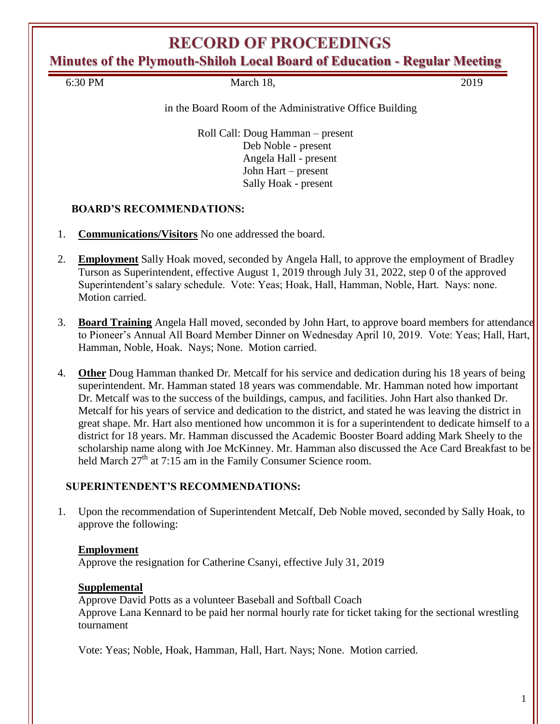# **RECORD OF PROCEEDINGS**

**Minutes of the Plymouth-Shiloh Local Board of Education - Regular Meeting**

6:30 PM March 18, 2019

#### in the Board Room of the Administrative Office Building

Roll Call: Doug Hamman – present Deb Noble - present Angela Hall - present John Hart – present Sally Hoak - present

### **BOARD'S RECOMMENDATIONS:**

- 1. **Communications/Visitors** No one addressed the board.
- 2. **Employment** Sally Hoak moved, seconded by Angela Hall, to approve the employment of Bradley Turson as Superintendent, effective August 1, 2019 through July 31, 2022, step 0 of the approved Superintendent's salary schedule. Vote: Yeas; Hoak, Hall, Hamman, Noble, Hart. Nays: none. Motion carried.
- 3. **Board Training** Angela Hall moved, seconded by John Hart, to approve board members for attendance to Pioneer's Annual All Board Member Dinner on Wednesday April 10, 2019. Vote: Yeas; Hall, Hart, Hamman, Noble, Hoak. Nays; None. Motion carried.
- 4. **Other** Doug Hamman thanked Dr. Metcalf for his service and dedication during his 18 years of being superintendent. Mr. Hamman stated 18 years was commendable. Mr. Hamman noted how important Dr. Metcalf was to the success of the buildings, campus, and facilities. John Hart also thanked Dr. Metcalf for his years of service and dedication to the district, and stated he was leaving the district in great shape. Mr. Hart also mentioned how uncommon it is for a superintendent to dedicate himself to a district for 18 years. Mr. Hamman discussed the Academic Booster Board adding Mark Sheely to the scholarship name along with Joe McKinney. Mr. Hamman also discussed the Ace Card Breakfast to be held March  $27<sup>th</sup>$  at 7:15 am in the Family Consumer Science room.

### **SUPERINTENDENT'S RECOMMENDATIONS:**

1. Upon the recommendation of Superintendent Metcalf, Deb Noble moved, seconded by Sally Hoak, to approve the following:

### **Employment**

Approve the resignation for Catherine Csanyi, effective July 31, 2019

### **Supplemental**

Approve David Potts as a volunteer Baseball and Softball Coach Approve Lana Kennard to be paid her normal hourly rate for ticket taking for the sectional wrestling tournament

Vote: Yeas; Noble, Hoak, Hamman, Hall, Hart. Nays; None. Motion carried.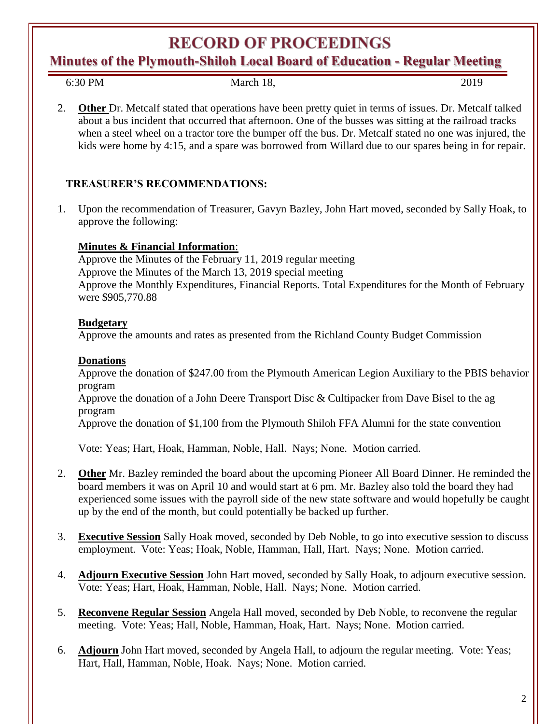## **RECORD OF PROCEEDINGS**

**Minutes of the Plymouth-Shiloh Local Board of Education - Regular Meeting**

6:30 PM March 18, 2019

2. **Other** Dr. Metcalf stated that operations have been pretty quiet in terms of issues. Dr. Metcalf talked about a bus incident that occurred that afternoon. One of the busses was sitting at the railroad tracks when a steel wheel on a tractor tore the bumper off the bus. Dr. Metcalf stated no one was injured, the kids were home by 4:15, and a spare was borrowed from Willard due to our spares being in for repair.

## **TREASURER'S RECOMMENDATIONS:**

1. Upon the recommendation of Treasurer, Gavyn Bazley, John Hart moved, seconded by Sally Hoak, to approve the following:

## **Minutes & Financial Information**:

Approve the Minutes of the February 11, 2019 regular meeting Approve the Minutes of the March 13, 2019 special meeting Approve the Monthly Expenditures, Financial Reports. Total Expenditures for the Month of February were \$905,770.88

## **Budgetary**

Approve the amounts and rates as presented from the Richland County Budget Commission

## **Donations**

Approve the donation of \$247.00 from the Plymouth American Legion Auxiliary to the PBIS behavior program

Approve the donation of a John Deere Transport Disc & Cultipacker from Dave Bisel to the ag program

Approve the donation of \$1,100 from the Plymouth Shiloh FFA Alumni for the state convention

Vote: Yeas; Hart, Hoak, Hamman, Noble, Hall. Nays; None. Motion carried.

- 2. **Other** Mr. Bazley reminded the board about the upcoming Pioneer All Board Dinner. He reminded the board members it was on April 10 and would start at 6 pm. Mr. Bazley also told the board they had experienced some issues with the payroll side of the new state software and would hopefully be caught up by the end of the month, but could potentially be backed up further.
- 3. **Executive Session** Sally Hoak moved, seconded by Deb Noble, to go into executive session to discuss employment. Vote: Yeas; Hoak, Noble, Hamman, Hall, Hart. Nays; None. Motion carried.
- 4. **Adjourn Executive Session** John Hart moved, seconded by Sally Hoak, to adjourn executive session. Vote: Yeas; Hart, Hoak, Hamman, Noble, Hall. Nays; None. Motion carried.
- 5. **Reconvene Regular Session** Angela Hall moved, seconded by Deb Noble, to reconvene the regular meeting. Vote: Yeas; Hall, Noble, Hamman, Hoak, Hart. Nays; None. Motion carried.
- 6. **Adjourn** John Hart moved, seconded by Angela Hall, to adjourn the regular meeting. Vote: Yeas; Hart, Hall, Hamman, Noble, Hoak. Nays; None. Motion carried.